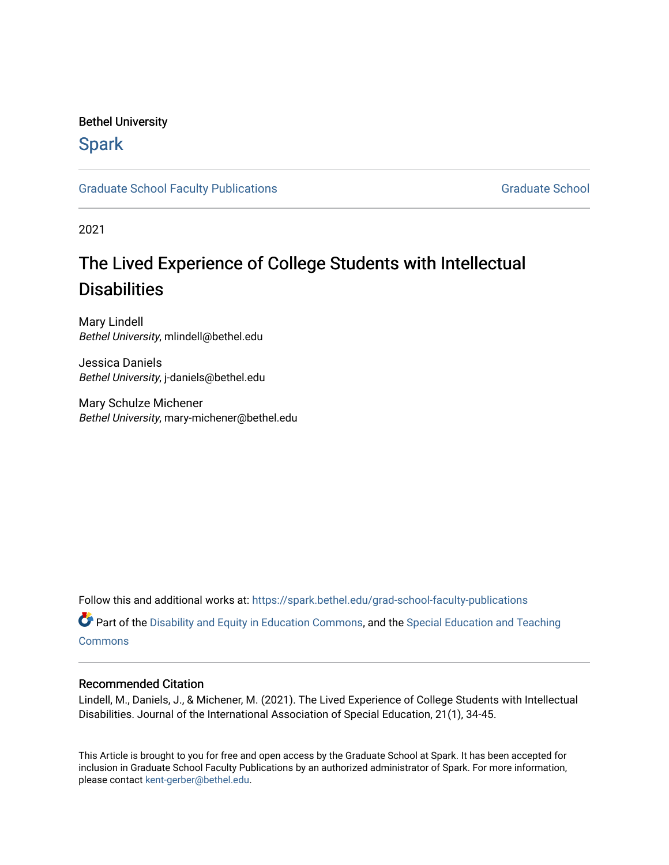# Bethel University

# **Spark**

[Graduate School Faculty Publications](https://spark.bethel.edu/grad-school-faculty-publications) [Graduate School](https://spark.bethel.edu/graduate-school) Graduate School

2021

# The Lived Experience of College Students with Intellectual **Disabilities**

Mary Lindell Bethel University, mlindell@bethel.edu

Jessica Daniels Bethel University, j-daniels@bethel.edu

Mary Schulze Michener Bethel University, mary-michener@bethel.edu

Follow this and additional works at: [https://spark.bethel.edu/grad-school-faculty-publications](https://spark.bethel.edu/grad-school-faculty-publications?utm_source=spark.bethel.edu%2Fgrad-school-faculty-publications%2F6&utm_medium=PDF&utm_campaign=PDFCoverPages)

**C** Part of the [Disability and Equity in Education Commons](http://network.bepress.com/hgg/discipline/1040?utm_source=spark.bethel.edu%2Fgrad-school-faculty-publications%2F6&utm_medium=PDF&utm_campaign=PDFCoverPages), and the Special Education and Teaching **[Commons](http://network.bepress.com/hgg/discipline/801?utm_source=spark.bethel.edu%2Fgrad-school-faculty-publications%2F6&utm_medium=PDF&utm_campaign=PDFCoverPages)** 

### Recommended Citation

Lindell, M., Daniels, J., & Michener, M. (2021). The Lived Experience of College Students with Intellectual Disabilities. Journal of the International Association of Special Education, 21(1), 34-45.

This Article is brought to you for free and open access by the Graduate School at Spark. It has been accepted for inclusion in Graduate School Faculty Publications by an authorized administrator of Spark. For more information, please contact [kent-gerber@bethel.edu](mailto:kent-gerber@bethel.edu).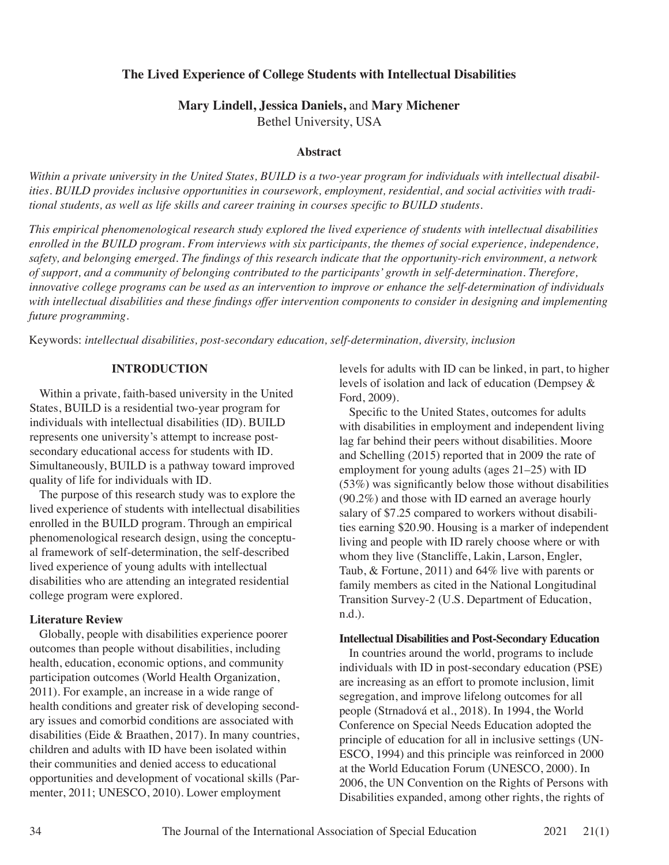# **The Lived Experience of College Students with Intellectual Disabilities**

# **Mary Lindell, Jessica Daniels,** and **Mary Michener** Bethel University, USA

#### **Abstract**

*Within a private university in the United States, BUILD is a two-year program for individuals with intellectual disabilities. BUILD provides inclusive opportunities in coursework, employment, residential, and social activities with traditional students, as well as life skills and career training in courses specific to BUILD students.* 

*This empirical phenomenological research study explored the lived experience of students with intellectual disabilities enrolled in the BUILD program. From interviews with six participants, the themes of social experience, independence, safety, and belonging emerged. The findings of this research indicate that the opportunity-rich environment, a network of support, and a community of belonging contributed to the participants' growth in self-determination. Therefore, innovative college programs can be used as an intervention to improve or enhance the self-determination of individuals with intellectual disabilities and these findings offer intervention components to consider in designing and implementing future programming.* 

Keywords: *intellectual disabilities, post-secondary education, self-determination, diversity, inclusion*

### **INTRODUCTION**

Within a private, faith-based university in the United States, BUILD is a residential two-year program for individuals with intellectual disabilities (ID). BUILD represents one university's attempt to increase postsecondary educational access for students with ID. Simultaneously, BUILD is a pathway toward improved quality of life for individuals with ID.

The purpose of this research study was to explore the lived experience of students with intellectual disabilities enrolled in the BUILD program. Through an empirical phenomenological research design, using the conceptual framework of self-determination, the self-described lived experience of young adults with intellectual disabilities who are attending an integrated residential college program were explored.

### **Literature Review**

Globally, people with disabilities experience poorer outcomes than people without disabilities, including health, education, economic options, and community participation outcomes (World Health Organization, 2011). For example, an increase in a wide range of health conditions and greater risk of developing secondary issues and comorbid conditions are associated with disabilities (Eide & Braathen, 2017). In many countries, children and adults with ID have been isolated within their communities and denied access to educational opportunities and development of vocational skills (Parmenter, 2011; UNESCO, 2010). Lower employment

levels for adults with ID can be linked, in part, to higher levels of isolation and lack of education (Dempsey & Ford, 2009).

Specific to the United States, outcomes for adults with disabilities in employment and independent living lag far behind their peers without disabilities. Moore and Schelling (2015) reported that in 2009 the rate of employment for young adults (ages 21–25) with ID (53%) was significantly below those without disabilities (90.2%) and those with ID earned an average hourly salary of \$7.25 compared to workers without disabilities earning \$20.90. Housing is a marker of independent living and people with ID rarely choose where or with whom they live (Stancliffe, Lakin, Larson, Engler, Taub, & Fortune, 2011) and 64% live with parents or family members as cited in the National Longitudinal Transition Survey-2 (U.S. Department of Education, n.d.).

#### **Intellectual Disabilities and Post-Secondary Education**

In countries around the world, programs to include individuals with ID in post-secondary education (PSE) are increasing as an effort to promote inclusion, limit segregation, and improve lifelong outcomes for all people (Strnadová et al., 2018). In 1994, the World Conference on Special Needs Education adopted the principle of education for all in inclusive settings (UN-ESCO, 1994) and this principle was reinforced in 2000 at the World Education Forum (UNESCO, 2000). In 2006, the UN Convention on the Rights of Persons with Disabilities expanded, among other rights, the rights of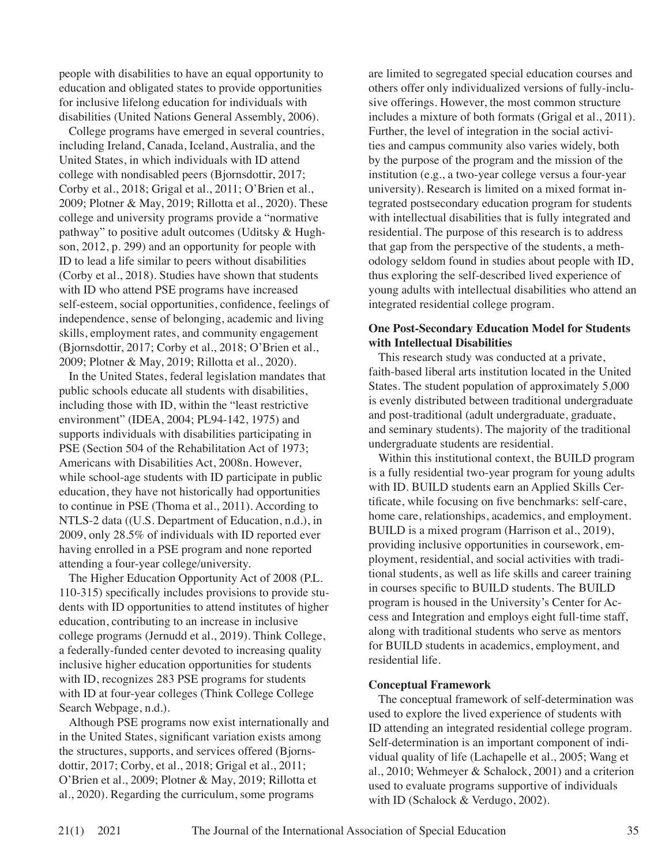people with disabilities to have an equal opportunity to education and obligated states to provide opportunities for inclusive lifelong education for individuals with disabilities (United Nations General Assembly, 2006).

College programs have emerged in several countries, including Ireland, Canada, Iceland, Australia, and the United States, in which individuals with ID attend college with nondisabled peers (Bjornsdottir, 2017; Corby et al., 2018; Grigal et al., 2011; O'Brien et al., 2009; Plotner & May, 2019; Rillotta et al., 2020). These college and university programs provide a "normative pathway" to positive adult outcomes (Uditsky & Hughson, 2012, p. 299) and an opportunity for people with ID to lead a life similar to peers without disabilities (Corby et al., 2018). Studies have shown that students with ID who attend PSE programs have increased self-esteem, social opportunities, confidence, feelings of independence, sense of belonging, academic and living skills, employment rates, and community engagement (Bjornsdottir, 2017; Corby et al., 2018; O'Brien et al., 2009; Plotner & May, 2019; Rillotta et al., 2020).

In the United States, federal legislation mandates that public schools educate all students with disabilities, including those with ID, within the "least restrictive environment" (IDEA, 2004; PL94-142, 1975) and supports individuals with disabilities participating in PSE (Section 504 of the Rehabilitation Act of 1973; Americans with Disabilities Act, 2008n. However, while school-age students with ID participate in public education, they have not historically had opportunities to continue in PSE (Thoma et al., 2011). According to NTLS-2 data ((U.S. Department of Education, n.d.), in 2009, only 28.5% of individuals with ID reported ever having enrolled in a PSE program and none reported attending a four-year college/university.

The Higher Education Opportunity Act of 2008 (P.L. 110-315) specifically includes provisions to provide students with ID opportunities to attend institutes of higher education, contributing to an increase in inclusive college programs (Jernudd et al., 2019). Think College, a federally-funded center devoted to increasing quality inclusive higher education opportunities for students with ID, recognizes 283 PSE programs for students with ID at four-year colleges (Think College College) Search Webpage, n.d.).

Although PSE programs now exist internationally and in the United States, significant variation exists among the structures, supports, and services offered (Bjornsdottir, 2017; Corby, et al., 2018; Grigal et al., 2011; O'Brien et al., 2009; Plotner & May, 2019; Rillotta et al., 2020). Regarding the curriculum, some programs

are limited to segregated special education courses and others offer only individualized versions of fully-inclusive offerings. However, the most common structure includes a mixture of both formats (Grigal et al., 2011). Further, the level of integration in the social activities and campus community also varies widely, both by the purpose of the program and the mission of the institution (e.g., a two-year college versus a four-year university). Research is limited on a mixed format integrated postsecondary education program for students with intellectual disabilities that is fully integrated and residential. The purpose of this research is to address that gap from the perspective of the students, a methodology seldom found in studies about people with ID, thus exploring the self-described lived experience of young adults with intellectual disabilities who attend an integrated residential college program.

## **One Post-Secondary Education Model for Students with Intellectual Disabilities**

This research study was conducted at a private, faith-based liberal arts institution located in the United States. The student population of approximately 5,000 is evenly distributed between traditional undergraduate and post-traditional (adult undergraduate, graduate, and seminary students). The majority of the traditional undergraduate students are residential.

Within this institutional context, the BUILD program is a fully residential two-year program for young adults with ID. BUILD students earn an Applied Skills Certificate, while focusing on five benchmarks: self-care, home care, relationships, academics, and employment. BUILD is a mixed program (Harrison et al., 2019), providing inclusive opportunities in coursework, employment, residential, and social activities with traditional students, as well as life skills and career training in courses specific to BUILD students. The BUILD program is housed in the University's Center for Access and Integration and employs eight full-time staff, along with traditional students who serve as mentors for BUILD students in academics, employment, and residential life.

# **Conceptual Framework**

The conceptual framework of self-determination was used to explore the lived experience of students with ID attending an integrated residential college program. Self-determination is an important component of individual quality of life (Lachapelle et al., 2005; Wang et al., 2010; Wehmeyer & Schalock, 2001) and a criterion used to evaluate programs supportive of individuals with ID (Schalock & Verdugo, 2002).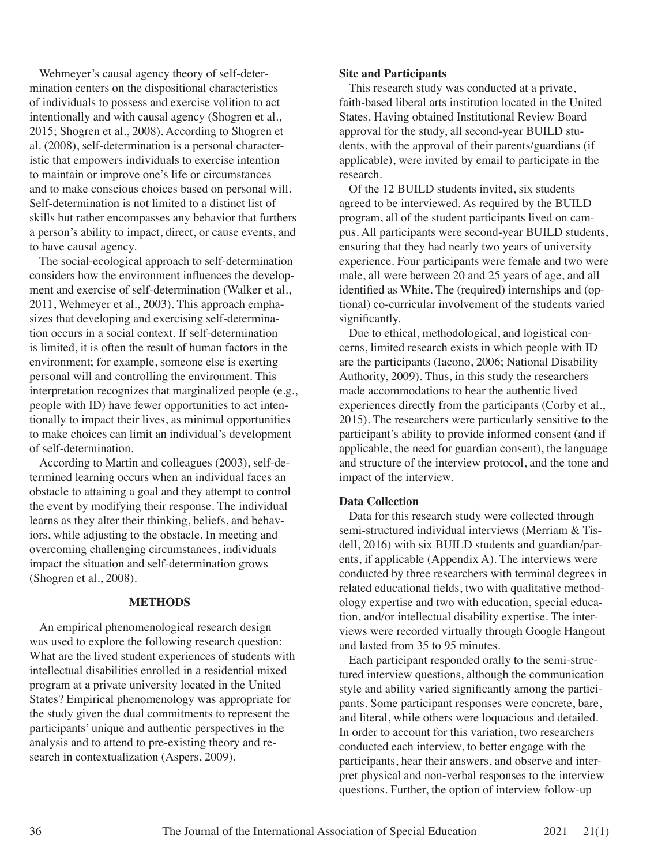Wehmeyer's causal agency theory of self-determination centers on the dispositional characteristics of individuals to possess and exercise volition to act intentionally and with causal agency (Shogren et al., 2015; Shogren et al., 2008). According to Shogren et al. (2008), self-determination is a personal characteristic that empowers individuals to exercise intention to maintain or improve one's life or circumstances and to make conscious choices based on personal will. Self-determination is not limited to a distinct list of skills but rather encompasses any behavior that furthers a person's ability to impact, direct, or cause events, and to have causal agency.

The social-ecological approach to self-determination considers how the environment influences the development and exercise of self-determination (Walker et al., 2011, Wehmeyer et al., 2003). This approach emphasizes that developing and exercising self-determination occurs in a social context. If self-determination is limited, it is often the result of human factors in the environment; for example, someone else is exerting personal will and controlling the environment. This interpretation recognizes that marginalized people (e.g., people with ID) have fewer opportunities to act intentionally to impact their lives, as minimal opportunities to make choices can limit an individual's development of self-determination.

According to Martin and colleagues (2003), self-determined learning occurs when an individual faces an obstacle to attaining a goal and they attempt to control the event by modifying their response. The individual learns as they alter their thinking, beliefs, and behaviors, while adjusting to the obstacle. In meeting and overcoming challenging circumstances, individuals impact the situation and self-determination grows (Shogren et al., 2008).

#### **METHODS**

An empirical phenomenological research design was used to explore the following research question: What are the lived student experiences of students with intellectual disabilities enrolled in a residential mixed program at a private university located in the United States? Empirical phenomenology was appropriate for the study given the dual commitments to represent the participants' unique and authentic perspectives in the analysis and to attend to pre-existing theory and research in contextualization (Aspers, 2009).

#### **Site and Participants**

This research study was conducted at a private, faith-based liberal arts institution located in the United States. Having obtained Institutional Review Board approval for the study, all second-year BUILD students, with the approval of their parents/guardians (if applicable), were invited by email to participate in the research.

Of the 12 BUILD students invited, six students agreed to be interviewed. As required by the BUILD program, all of the student participants lived on campus. All participants were second-year BUILD students, ensuring that they had nearly two years of university experience. Four participants were female and two were male, all were between 20 and 25 years of age, and all identified as White. The (required) internships and (optional) co-curricular involvement of the students varied significantly.

Due to ethical, methodological, and logistical concerns, limited research exists in which people with ID are the participants (Iacono, 2006; National Disability Authority, 2009). Thus, in this study the researchers made accommodations to hear the authentic lived experiences directly from the participants (Corby et al., 2015). The researchers were particularly sensitive to the participant's ability to provide informed consent (and if applicable, the need for guardian consent), the language and structure of the interview protocol, and the tone and impact of the interview.

### **Data Collection**

Data for this research study were collected through semi-structured individual interviews (Merriam & Tisdell, 2016) with six BUILD students and guardian/parents, if applicable (Appendix A). The interviews were conducted by three researchers with terminal degrees in related educational fields, two with qualitative methodology expertise and two with education, special education, and/or intellectual disability expertise. The interviews were recorded virtually through Google Hangout and lasted from 35 to 95 minutes.

Each participant responded orally to the semi-structured interview questions, although the communication style and ability varied significantly among the participants. Some participant responses were concrete, bare, and literal, while others were loquacious and detailed. In order to account for this variation, two researchers conducted each interview, to better engage with the participants, hear their answers, and observe and interpret physical and non-verbal responses to the interview questions. Further, the option of interview follow-up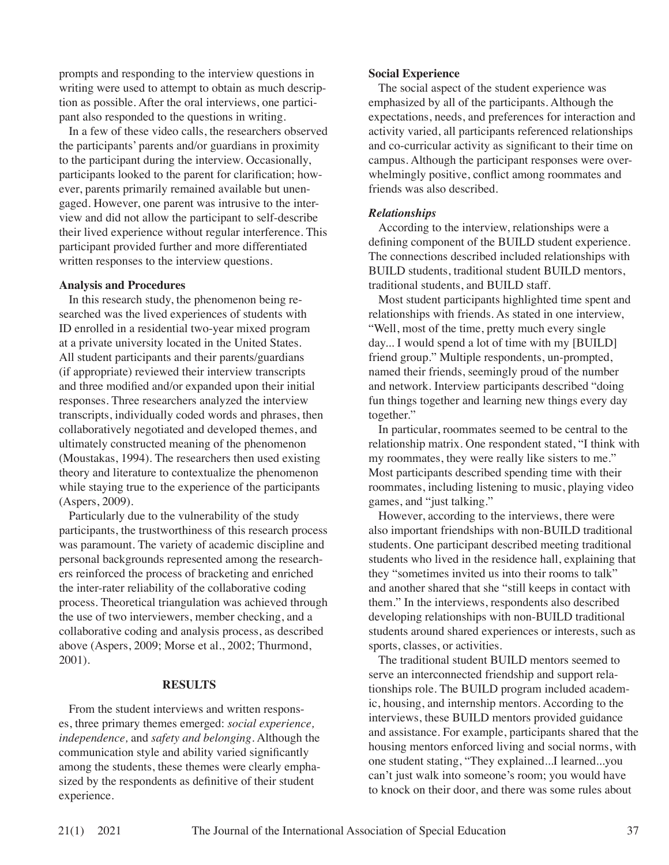prompts and responding to the interview questions in writing were used to attempt to obtain as much description as possible. After the oral interviews, one participant also responded to the questions in writing.

In a few of these video calls, the researchers observed the participants' parents and/or guardians in proximity to the participant during the interview. Occasionally, participants looked to the parent for clarification; however, parents primarily remained available but unengaged. However, one parent was intrusive to the interview and did not allow the participant to self-describe their lived experience without regular interference. This participant provided further and more differentiated written responses to the interview questions.

#### **Analysis and Procedures**

In this research study, the phenomenon being researched was the lived experiences of students with ID enrolled in a residential two-year mixed program at a private university located in the United States. All student participants and their parents/guardians (if appropriate) reviewed their interview transcripts and three modified and/or expanded upon their initial responses. Three researchers analyzed the interview transcripts, individually coded words and phrases, then collaboratively negotiated and developed themes, and ultimately constructed meaning of the phenomenon (Moustakas, 1994). The researchers then used existing theory and literature to contextualize the phenomenon while staying true to the experience of the participants (Aspers, 2009).

Particularly due to the vulnerability of the study participants, the trustworthiness of this research process was paramount. The variety of academic discipline and personal backgrounds represented among the researchers reinforced the process of bracketing and enriched the inter-rater reliability of the collaborative coding process. Theoretical triangulation was achieved through the use of two interviewers, member checking, and a collaborative coding and analysis process, as described above (Aspers, 2009; Morse et al., 2002; Thurmond, 2001).

## **RESULTS**

From the student interviews and written responses, three primary themes emerged: *social experience, independence,* and *safety and belonging*. Although the communication style and ability varied significantly among the students, these themes were clearly emphasized by the respondents as definitive of their student experience.

## **Social Experience**

The social aspect of the student experience was emphasized by all of the participants. Although the expectations, needs, and preferences for interaction and activity varied, all participants referenced relationships and co-curricular activity as significant to their time on campus. Although the participant responses were overwhelmingly positive, conflict among roommates and friends was also described.

## *Relationships*

According to the interview, relationships were a defining component of the BUILD student experience. The connections described included relationships with BUILD students, traditional student BUILD mentors, traditional students, and BUILD staff.

Most student participants highlighted time spent and relationships with friends. As stated in one interview, "Well, most of the time, pretty much every single day... I would spend a lot of time with my [BUILD] friend group." Multiple respondents, un-prompted, named their friends, seemingly proud of the number and network. Interview participants described "doing fun things together and learning new things every day together."

In particular, roommates seemed to be central to the relationship matrix. One respondent stated, "I think with my roommates, they were really like sisters to me." Most participants described spending time with their roommates, including listening to music, playing video games, and "just talking."

However, according to the interviews, there were also important friendships with non-BUILD traditional students. One participant described meeting traditional students who lived in the residence hall, explaining that they "sometimes invited us into their rooms to talk" and another shared that she "still keeps in contact with them." In the interviews, respondents also described developing relationships with non-BUILD traditional students around shared experiences or interests, such as sports, classes, or activities.

The traditional student BUILD mentors seemed to serve an interconnected friendship and support relationships role. The BUILD program included academic, housing, and internship mentors. According to the interviews, these BUILD mentors provided guidance and assistance. For example, participants shared that the housing mentors enforced living and social norms, with one student stating, "They explained...I learned...you can't just walk into someone's room; you would have to knock on their door, and there was some rules about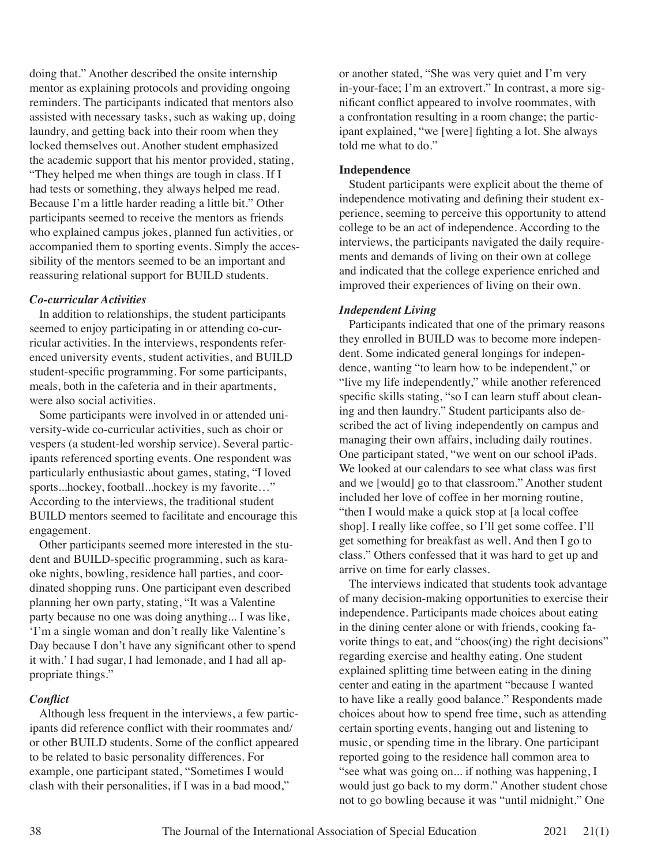doing that." Another described the onsite internship mentor as explaining protocols and providing ongoing reminders. The participants indicated that mentors also assisted with necessary tasks, such as waking up, doing laundry, and getting back into their room when they locked themselves out. Another student emphasized the academic support that his mentor provided, stating, "They helped me when things are tough in class. If I had tests or something, they always helped me read. Because I'm a little harder reading a little bit." Other participants seemed to receive the mentors as friends who explained campus jokes, planned fun activities, or accompanied them to sporting events. Simply the accessibility of the mentors seemed to be an important and reassuring relational support for BUILD students.

### *Co-curricular Activities*

In addition to relationships, the student participants seemed to enjoy participating in or attending co-curricular activities. In the interviews, respondents referenced university events, student activities, and BUILD student-specific programming. For some participants, meals, both in the cafeteria and in their apartments, were also social activities.

Some participants were involved in or attended university-wide co-curricular activities, such as choir or vespers (a student-led worship service). Several participants referenced sporting events. One respondent was particularly enthusiastic about games, stating, "I loved sports...hockey, football...hockey is my favorite…" According to the interviews, the traditional student BUILD mentors seemed to facilitate and encourage this engagement.

Other participants seemed more interested in the student and BUILD-specific programming, such as karaoke nights, bowling, residence hall parties, and coordinated shopping runs. One participant even described planning her own party, stating, "It was a Valentine party because no one was doing anything... I was like, 'I'm a single woman and don't really like Valentine's Day because I don't have any significant other to spend it with.' I had sugar, I had lemonade, and I had all appropriate things."

# *Conflict*

Although less frequent in the interviews, a few participants did reference conflict with their roommates and/ or other BUILD students. Some of the conflict appeared to be related to basic personality differences. For example, one participant stated, "Sometimes I would clash with their personalities, if I was in a bad mood,"

or another stated, "She was very quiet and I'm very in-your-face; I'm an extrovert." In contrast, a more significant conflict appeared to involve roommates, with a confrontation resulting in a room change; the participant explained, "we [were] fighting a lot. She always told me what to do."

# **Independence**

Student participants were explicit about the theme of independence motivating and defining their student experience, seeming to perceive this opportunity to attend college to be an act of independence. According to the interviews, the participants navigated the daily requirements and demands of living on their own at college and indicated that the college experience enriched and improved their experiences of living on their own.

# *Independent Living*

Participants indicated that one of the primary reasons they enrolled in BUILD was to become more independent. Some indicated general longings for independence, wanting "to learn how to be independent," or "live my life independently," while another referenced specific skills stating, "so I can learn stuff about cleaning and then laundry." Student participants also described the act of living independently on campus and managing their own affairs, including daily routines. One participant stated, "we went on our school iPads. We looked at our calendars to see what class was first and we [would] go to that classroom." Another student included her love of coffee in her morning routine, "then I would make a quick stop at [a local coffee shop]. I really like coffee, so I'll get some coffee. I'll get something for breakfast as well. And then I go to class." Others confessed that it was hard to get up and arrive on time for early classes.

The interviews indicated that students took advantage of many decision-making opportunities to exercise their independence. Participants made choices about eating in the dining center alone or with friends, cooking favorite things to eat, and "choos(ing) the right decisions" regarding exercise and healthy eating. One student explained splitting time between eating in the dining center and eating in the apartment "because I wanted to have like a really good balance." Respondents made choices about how to spend free time, such as attending certain sporting events, hanging out and listening to music, or spending time in the library. One participant reported going to the residence hall common area to "see what was going on... if nothing was happening, I would just go back to my dorm." Another student chose not to go bowling because it was "until midnight." One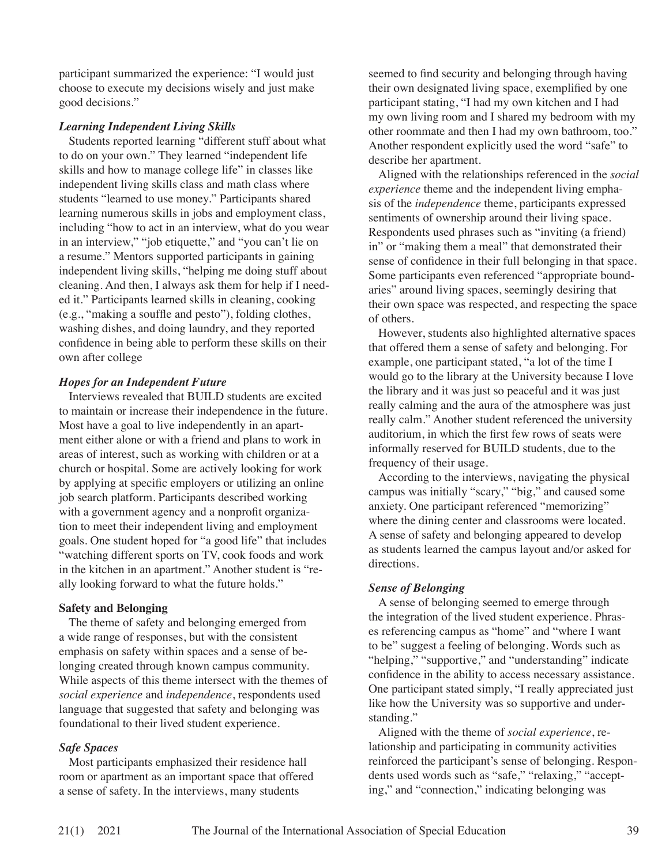participant summarized the experience: "I would just choose to execute my decisions wisely and just make good decisions."

### *Learning Independent Living Skills*

Students reported learning "different stuff about what to do on your own." They learned "independent life skills and how to manage college life" in classes like independent living skills class and math class where students "learned to use money." Participants shared learning numerous skills in jobs and employment class, including "how to act in an interview, what do you wear in an interview," "job etiquette," and "you can't lie on a resume." Mentors supported participants in gaining independent living skills, "helping me doing stuff about cleaning. And then, I always ask them for help if I needed it." Participants learned skills in cleaning, cooking (e.g., "making a souffle and pesto"), folding clothes, washing dishes, and doing laundry, and they reported confidence in being able to perform these skills on their own after college

### *Hopes for an Independent Future*

Interviews revealed that BUILD students are excited to maintain or increase their independence in the future. Most have a goal to live independently in an apartment either alone or with a friend and plans to work in areas of interest, such as working with children or at a church or hospital. Some are actively looking for work by applying at specific employers or utilizing an online job search platform. Participants described working with a government agency and a nonprofit organization to meet their independent living and employment goals. One student hoped for "a good life" that includes "watching different sports on TV, cook foods and work in the kitchen in an apartment." Another student is "really looking forward to what the future holds."

### **Safety and Belonging**

The theme of safety and belonging emerged from a wide range of responses, but with the consistent emphasis on safety within spaces and a sense of belonging created through known campus community. While aspects of this theme intersect with the themes of *social experience* and *independence*, respondents used language that suggested that safety and belonging was foundational to their lived student experience.

### *Safe Spaces*

Most participants emphasized their residence hall room or apartment as an important space that offered a sense of safety. In the interviews, many students

seemed to find security and belonging through having their own designated living space, exemplified by one participant stating, "I had my own kitchen and I had my own living room and I shared my bedroom with my other roommate and then I had my own bathroom, too." Another respondent explicitly used the word "safe" to describe her apartment.

Aligned with the relationships referenced in the *social experience* theme and the independent living emphasis of the *independence* theme, participants expressed sentiments of ownership around their living space. Respondents used phrases such as "inviting (a friend) in" or "making them a meal" that demonstrated their sense of confidence in their full belonging in that space. Some participants even referenced "appropriate boundaries" around living spaces, seemingly desiring that their own space was respected, and respecting the space of others.

However, students also highlighted alternative spaces that offered them a sense of safety and belonging. For example, one participant stated, "a lot of the time I would go to the library at the University because I love the library and it was just so peaceful and it was just really calming and the aura of the atmosphere was just really calm." Another student referenced the university auditorium, in which the first few rows of seats were informally reserved for BUILD students, due to the frequency of their usage.

According to the interviews, navigating the physical campus was initially "scary," "big," and caused some anxiety. One participant referenced "memorizing" where the dining center and classrooms were located. A sense of safety and belonging appeared to develop as students learned the campus layout and/or asked for directions.

### *Sense of Belonging*

A sense of belonging seemed to emerge through the integration of the lived student experience. Phrases referencing campus as "home" and "where I want to be" suggest a feeling of belonging. Words such as "helping," "supportive," and "understanding" indicate confidence in the ability to access necessary assistance. One participant stated simply, "I really appreciated just like how the University was so supportive and understanding."

Aligned with the theme of *social experience*, relationship and participating in community activities reinforced the participant's sense of belonging. Respondents used words such as "safe," "relaxing," "accepting," and "connection," indicating belonging was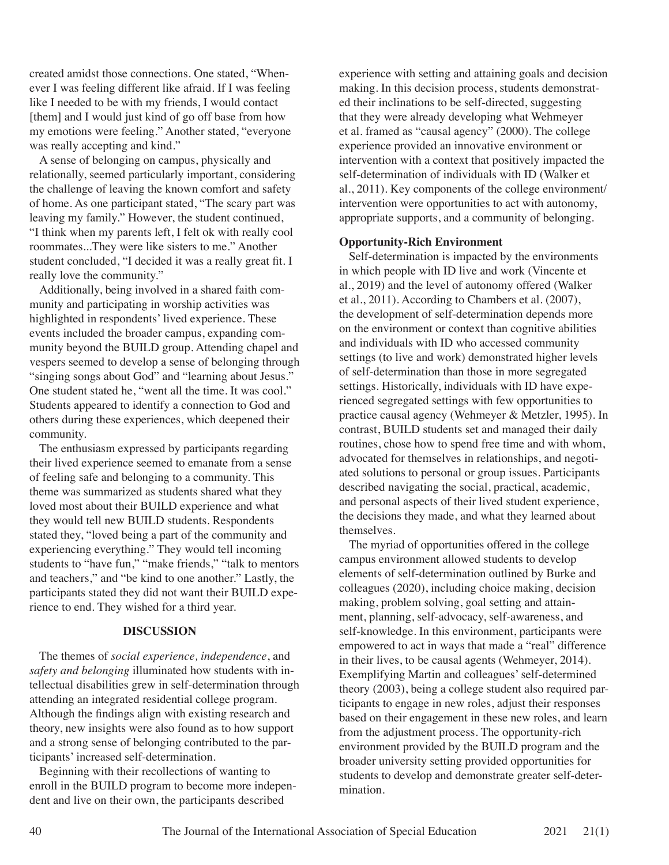created amidst those connections. One stated, "Whenever I was feeling different like afraid. If I was feeling like I needed to be with my friends, I would contact [them] and I would just kind of go off base from how my emotions were feeling." Another stated, "everyone was really accepting and kind."

A sense of belonging on campus, physically and relationally, seemed particularly important, considering the challenge of leaving the known comfort and safety of home. As one participant stated, "The scary part was leaving my family." However, the student continued, "I think when my parents left, I felt ok with really cool roommates...They were like sisters to me." Another student concluded, "I decided it was a really great fit. I really love the community."

Additionally, being involved in a shared faith community and participating in worship activities was highlighted in respondents' lived experience. These events included the broader campus, expanding community beyond the BUILD group. Attending chapel and vespers seemed to develop a sense of belonging through "singing songs about God" and "learning about Jesus." One student stated he, "went all the time. It was cool." Students appeared to identify a connection to God and others during these experiences, which deepened their community.

The enthusiasm expressed by participants regarding their lived experience seemed to emanate from a sense of feeling safe and belonging to a community. This theme was summarized as students shared what they loved most about their BUILD experience and what they would tell new BUILD students. Respondents stated they, "loved being a part of the community and experiencing everything." They would tell incoming students to "have fun," "make friends," "talk to mentors and teachers," and "be kind to one another." Lastly, the participants stated they did not want their BUILD experience to end. They wished for a third year.

### **DISCUSSION**

The themes of *social experience, independence*, and *safety and belonging* illuminated how students with intellectual disabilities grew in self-determination through attending an integrated residential college program. Although the findings align with existing research and theory, new insights were also found as to how support and a strong sense of belonging contributed to the participants' increased self-determination.

Beginning with their recollections of wanting to enroll in the BUILD program to become more independent and live on their own, the participants described

experience with setting and attaining goals and decision making. In this decision process, students demonstrated their inclinations to be self-directed, suggesting that they were already developing what Wehmeyer et al. framed as "causal agency" (2000). The college experience provided an innovative environment or intervention with a context that positively impacted the self-determination of individuals with ID (Walker et al., 2011). Key components of the college environment/ intervention were opportunities to act with autonomy, appropriate supports, and a community of belonging.

#### **Opportunity-Rich Environment**

Self-determination is impacted by the environments in which people with ID live and work (Vincente et al., 2019) and the level of autonomy offered (Walker et al., 2011). According to Chambers et al. (2007), the development of self-determination depends more on the environment or context than cognitive abilities and individuals with ID who accessed community settings (to live and work) demonstrated higher levels of self-determination than those in more segregated settings. Historically, individuals with ID have experienced segregated settings with few opportunities to practice causal agency (Wehmeyer & Metzler, 1995). In contrast, BUILD students set and managed their daily routines, chose how to spend free time and with whom, advocated for themselves in relationships, and negotiated solutions to personal or group issues. Participants described navigating the social, practical, academic, and personal aspects of their lived student experience, the decisions they made, and what they learned about themselves.

The myriad of opportunities offered in the college campus environment allowed students to develop elements of self-determination outlined by Burke and colleagues (2020), including choice making, decision making, problem solving, goal setting and attainment, planning, self-advocacy, self-awareness, and self-knowledge. In this environment, participants were empowered to act in ways that made a "real" difference in their lives, to be causal agents (Wehmeyer, 2014). Exemplifying Martin and colleagues' self-determined theory (2003), being a college student also required participants to engage in new roles, adjust their responses based on their engagement in these new roles, and learn from the adjustment process. The opportunity-rich environment provided by the BUILD program and the broader university setting provided opportunities for students to develop and demonstrate greater self-determination.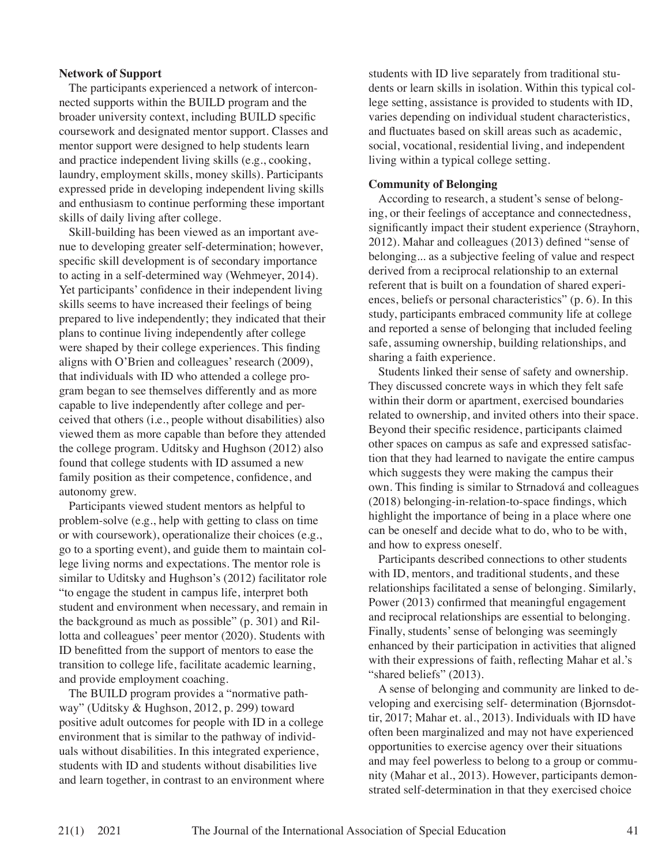#### **Network of Support**

The participants experienced a network of interconnected supports within the BUILD program and the broader university context, including BUILD specific coursework and designated mentor support. Classes and mentor support were designed to help students learn and practice independent living skills (e.g., cooking, laundry, employment skills, money skills). Participants expressed pride in developing independent living skills and enthusiasm to continue performing these important skills of daily living after college.

Skill-building has been viewed as an important avenue to developing greater self-determination; however, specific skill development is of secondary importance to acting in a self-determined way (Wehmeyer, 2014). Yet participants' confidence in their independent living skills seems to have increased their feelings of being prepared to live independently; they indicated that their plans to continue living independently after college were shaped by their college experiences. This finding aligns with O'Brien and colleagues' research (2009), that individuals with ID who attended a college program began to see themselves differently and as more capable to live independently after college and perceived that others (i.e., people without disabilities) also viewed them as more capable than before they attended the college program. Uditsky and Hughson (2012) also found that college students with ID assumed a new family position as their competence, confidence, and autonomy grew.

Participants viewed student mentors as helpful to problem-solve (e.g., help with getting to class on time or with coursework), operationalize their choices (e.g., go to a sporting event), and guide them to maintain college living norms and expectations. The mentor role is similar to Uditsky and Hughson's (2012) facilitator role "to engage the student in campus life, interpret both student and environment when necessary, and remain in the background as much as possible" (p. 301) and Rillotta and colleagues' peer mentor (2020). Students with ID benefitted from the support of mentors to ease the transition to college life, facilitate academic learning, and provide employment coaching.

The BUILD program provides a "normative pathway" (Uditsky & Hughson, 2012, p. 299) toward positive adult outcomes for people with ID in a college environment that is similar to the pathway of individuals without disabilities. In this integrated experience, students with ID and students without disabilities live and learn together, in contrast to an environment where students with ID live separately from traditional students or learn skills in isolation. Within this typical college setting, assistance is provided to students with ID, varies depending on individual student characteristics, and fluctuates based on skill areas such as academic, social, vocational, residential living, and independent living within a typical college setting.

#### **Community of Belonging**

According to research, a student's sense of belonging, or their feelings of acceptance and connectedness, significantly impact their student experience (Strayhorn, 2012). Mahar and colleagues (2013) defined "sense of belonging... as a subjective feeling of value and respect derived from a reciprocal relationship to an external referent that is built on a foundation of shared experiences, beliefs or personal characteristics" (p. 6). In this study, participants embraced community life at college and reported a sense of belonging that included feeling safe, assuming ownership, building relationships, and sharing a faith experience.

Students linked their sense of safety and ownership. They discussed concrete ways in which they felt safe within their dorm or apartment, exercised boundaries related to ownership, and invited others into their space. Beyond their specific residence, participants claimed other spaces on campus as safe and expressed satisfaction that they had learned to navigate the entire campus which suggests they were making the campus their own. This finding is similar to Strnadová and colleagues (2018) belonging-in-relation-to-space findings, which highlight the importance of being in a place where one can be oneself and decide what to do, who to be with, and how to express oneself.

Participants described connections to other students with ID, mentors, and traditional students, and these relationships facilitated a sense of belonging. Similarly, Power (2013) confirmed that meaningful engagement and reciprocal relationships are essential to belonging. Finally, students' sense of belonging was seemingly enhanced by their participation in activities that aligned with their expressions of faith, reflecting Mahar et al.'s "shared beliefs" (2013).

A sense of belonging and community are linked to developing and exercising self- determination (Bjornsdottir, 2017; Mahar et. al., 2013). Individuals with ID have often been marginalized and may not have experienced opportunities to exercise agency over their situations and may feel powerless to belong to a group or community (Mahar et al., 2013). However, participants demonstrated self-determination in that they exercised choice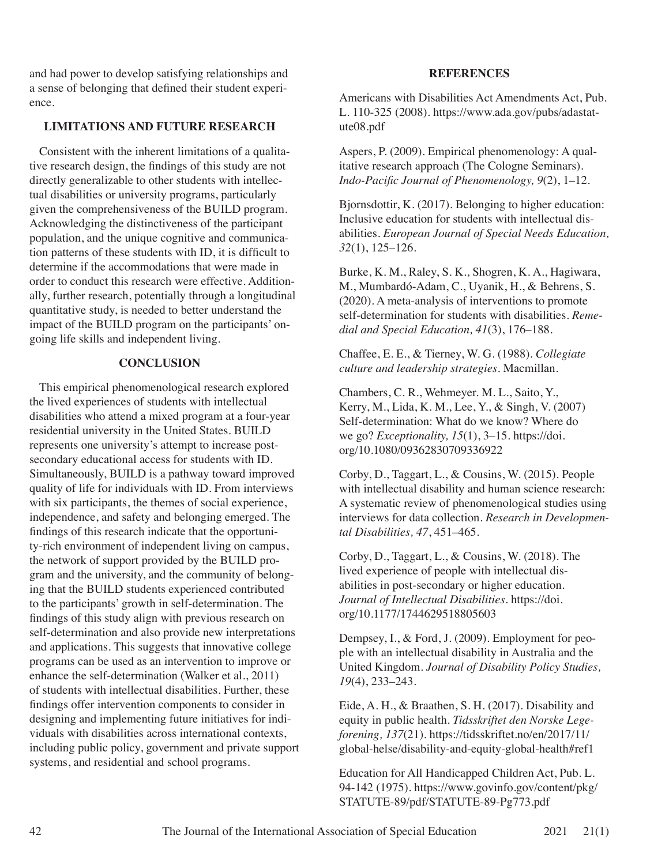and had power to develop satisfying relationships and a sense of belonging that defined their student experience.

## **LIMITATIONS AND FUTURE RESEARCH**

Consistent with the inherent limitations of a qualitative research design, the findings of this study are not directly generalizable to other students with intellectual disabilities or university programs, particularly given the comprehensiveness of the BUILD program. Acknowledging the distinctiveness of the participant population, and the unique cognitive and communication patterns of these students with ID, it is difficult to determine if the accommodations that were made in order to conduct this research were effective. Additionally, further research, potentially through a longitudinal quantitative study, is needed to better understand the impact of the BUILD program on the participants' ongoing life skills and independent living.

# **CONCLUSION**

This empirical phenomenological research explored the lived experiences of students with intellectual disabilities who attend a mixed program at a four-year residential university in the United States. BUILD represents one university's attempt to increase postsecondary educational access for students with ID. Simultaneously, BUILD is a pathway toward improved quality of life for individuals with ID. From interviews with six participants, the themes of social experience, independence, and safety and belonging emerged. The findings of this research indicate that the opportunity-rich environment of independent living on campus, the network of support provided by the BUILD program and the university, and the community of belonging that the BUILD students experienced contributed to the participants' growth in self-determination. The findings of this study align with previous research on self-determination and also provide new interpretations and applications. This suggests that innovative college programs can be used as an intervention to improve or enhance the self-determination (Walker et al., 2011) of students with intellectual disabilities. Further, these findings offer intervention components to consider in designing and implementing future initiatives for individuals with disabilities across international contexts, including public policy, government and private support systems, and residential and school programs.

#### **REFERENCES**

Americans with Disabilities Act Amendments Act, Pub. L. 110-325 (2008). https://www.ada.gov/pubs/adastatute08.pdf

Aspers, P. (2009). Empirical phenomenology: A qualitative research approach (The Cologne Seminars). *Indo-Pacific Journal of Phenomenology, 9*(2), 1–12.

Bjornsdottir, K. (2017). Belonging to higher education: Inclusive education for students with intellectual disabilities. *European Journal of Special Needs Education, 32*(1), 125–126.

Burke, K. M., Raley, S. K., Shogren, K. A., Hagiwara, M., Mumbardó-Adam, C., Uyanik, H., & Behrens, S. (2020). A meta-analysis of interventions to promote self-determination for students with disabilities. *Remedial and Special Education, 41*(3), 176–188.

Chaffee, E. E., & Tierney, W. G. (1988). *Collegiate culture and leadership strategies*. Macmillan.

Chambers, C. R., Wehmeyer. M. L., Saito, Y., Kerry, M., Lida, K. M., Lee, Y., & Singh, V. (2007) Self-determination: What do we know? Where do we go? *Exceptionality, 15*(1), 3–15. https://doi. org/10.1080/09362830709336922

Corby, D., Taggart, L., & Cousins, W. (2015). People with intellectual disability and human science research: A systematic review of phenomenological studies using interviews for data collection. *Research in Developmental Disabilities, 47*, 451–465.

Corby, D., Taggart, L., & Cousins, W. (2018). The lived experience of people with intellectual disabilities in post-secondary or higher education. *Journal of Intellectual Disabilities*. https://doi. org/10.1177/1744629518805603

Dempsey, I., & Ford, J. (2009). Employment for people with an intellectual disability in Australia and the United Kingdom. *Journal of Disability Policy Studies, 19*(4), 233–243.

Eide, A. H., & Braathen, S. H. (2017). Disability and equity in public health. *Tidsskriftet den Norske Legeforening, 137*(21). https://tidsskriftet.no/en/2017/11/ global-helse/disability-and-equity-global-health#ref1

Education for All Handicapped Children Act, Pub. L. 94-142 (1975). https://www.govinfo.gov/content/pkg/ STATUTE-89/pdf/STATUTE-89-Pg773.pdf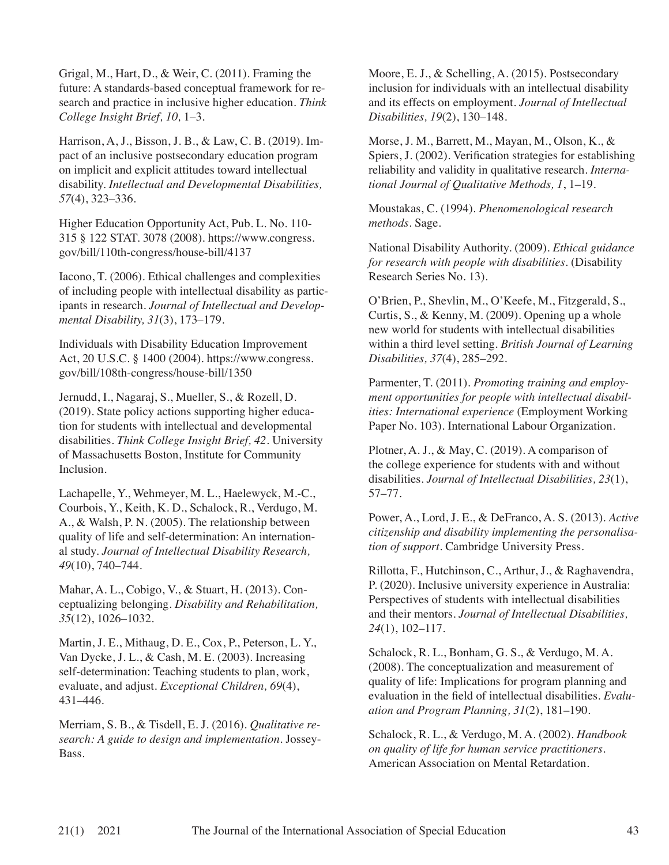Grigal, M., Hart, D., & Weir, C. (2011). Framing the future: A standards-based conceptual framework for research and practice in inclusive higher education. *Think College Insight Brief, 10,* 1–3.

Harrison, A, J., Bisson, J. B., & Law, C. B. (2019). Impact of an inclusive postsecondary education program on implicit and explicit attitudes toward intellectual disability. *Intellectual and Developmental Disabilities, 57*(4), 323–336.

Higher Education Opportunity Act, Pub. L. No. 110- 315 § 122 STAT. 3078 (2008). https://www.congress. gov/bill/110th-congress/house-bill/4137

Iacono, T. (2006). Ethical challenges and complexities of including people with intellectual disability as participants in research. *Journal of Intellectual and Developmental Disability, 31*(3), 173–179.

Individuals with Disability Education Improvement Act, 20 U.S.C. § 1400 (2004). https://www.congress. gov/bill/108th-congress/house-bill/1350

Jernudd, I., Nagaraj, S., Mueller, S., & Rozell, D. (2019). State policy actions supporting higher education for students with intellectual and developmental disabilities. *Think College Insight Brief, 42*. University of Massachusetts Boston, Institute for Community Inclusion.

Lachapelle, Y., Wehmeyer, M. L., Haelewyck, M.-C., Courbois, Y., Keith, K. D., Schalock, R., Verdugo, M. A., & Walsh, P. N. (2005). The relationship between quality of life and self-determination: An international study. *Journal of Intellectual Disability Research, 49*(10), 740–744.

Mahar, A. L., Cobigo, V., & Stuart, H. (2013). Conceptualizing belonging. *Disability and Rehabilitation, 35*(12), 1026–1032.

Martin, J. E., Mithaug, D. E., Cox, P., Peterson, L. Y., Van Dycke, J. L., & Cash, M. E. (2003). Increasing self-determination: Teaching students to plan, work, evaluate, and adjust. *Exceptional Children, 69*(4), 431–446.

Merriam, S. B., & Tisdell, E. J. (2016). *Qualitative research: A guide to design and implementation*. Jossey-Bass.

Moore, E. J., & Schelling, A. (2015). Postsecondary inclusion for individuals with an intellectual disability and its effects on employment. *Journal of Intellectual Disabilities, 19*(2), 130–148.

Morse, J. M., Barrett, M., Mayan, M., Olson, K., & Spiers, J. (2002). Verification strategies for establishing reliability and validity in qualitative research. *International Journal of Qualitative Methods, 1*, 1–19.

Moustakas, C. (1994). *Phenomenological research methods*. Sage.

National Disability Authority. (2009). *Ethical guidance for research with people with disabilities*. (Disability Research Series No. 13).

O'Brien, P., Shevlin, M., O'Keefe, M., Fitzgerald, S., Curtis, S., & Kenny, M. (2009). Opening up a whole new world for students with intellectual disabilities within a third level setting. *British Journal of Learning Disabilities, 37*(4), 285–292.

Parmenter, T. (2011). *Promoting training and employment opportunities for people with intellectual disabilities: International experience* (Employment Working Paper No. 103). International Labour Organization.

Plotner, A. J., & May, C. (2019). A comparison of the college experience for students with and without disabilities. *Journal of Intellectual Disabilities, 23*(1), 57–77.

Power, A., Lord, J. E., & DeFranco, A. S. (2013). *Active citizenship and disability implementing the personalisation of support*. Cambridge University Press.

Rillotta, F., Hutchinson, C., Arthur, J., & Raghavendra, P. (2020). Inclusive university experience in Australia: Perspectives of students with intellectual disabilities and their mentors. *Journal of Intellectual Disabilities, 24*(1), 102–117.

Schalock, R. L., Bonham, G. S., & Verdugo, M. A. (2008). The conceptualization and measurement of quality of life: Implications for program planning and evaluation in the field of intellectual disabilities. *Evaluation and Program Planning, 31*(2), 181–190.

Schalock, R. L., & Verdugo, M. A. (2002). *Handbook on quality of life for human service practitioners*. American Association on Mental Retardation.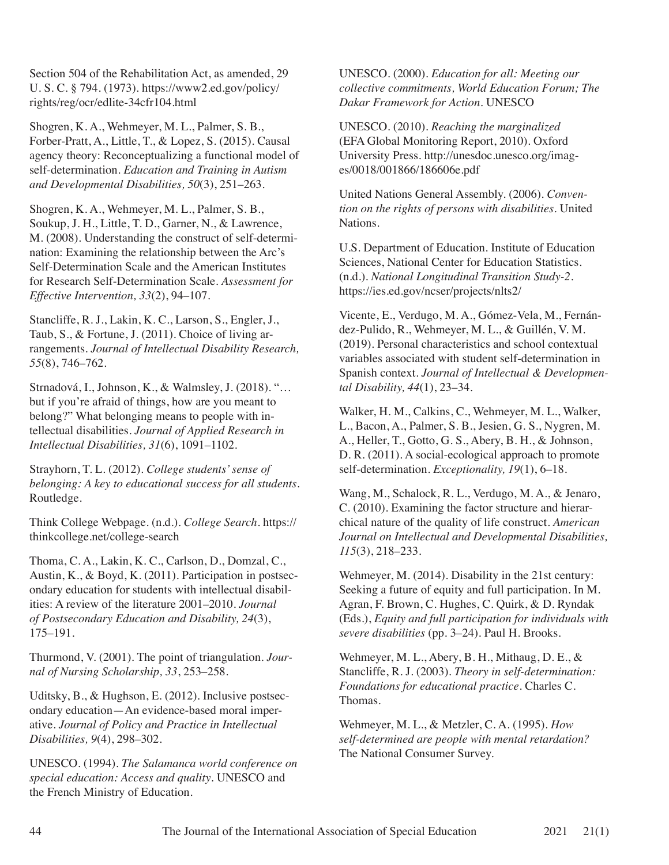Section 504 of the Rehabilitation Act, as amended, 29 U. S. C. § 794. (1973). https://www2.ed.gov/policy/ rights/reg/ocr/edlite-34cfr104.html

Shogren, K. A., Wehmeyer, M. L., Palmer, S. B., Forber-Pratt, A., Little, T., & Lopez, S. (2015). Causal agency theory: Reconceptualizing a functional model of self-determination. *Education and Training in Autism and Developmental Disabilities, 50*(3), 251–263.

Shogren, K. A., Wehmeyer, M. L., Palmer, S. B., Soukup, J. H., Little, T. D., Garner, N., & Lawrence, M. (2008). Understanding the construct of self-determination: Examining the relationship between the Arc's Self-Determination Scale and the American Institutes for Research Self-Determination Scale. *Assessment for Effective Intervention, 33*(2), 94–107.

Stancliffe, R. J., Lakin, K. C., Larson, S., Engler, J., Taub, S., & Fortune, J. (2011). Choice of living arrangements. *Journal of Intellectual Disability Research, 55*(8), 746–762.

Strnadová, I., Johnson, K., & Walmsley, J. (2018). "… but if you're afraid of things, how are you meant to belong?" What belonging means to people with intellectual disabilities. *Journal of Applied Research in Intellectual Disabilities, 31*(6), 1091–1102.

Strayhorn, T. L. (2012). *College students' sense of belonging: A key to educational success for all students.* Routledge.

Think College Webpage. (n.d.). *College Search*. https:// thinkcollege.net/college-search

Thoma, C. A., Lakin, K. C., Carlson, D., Domzal, C., Austin, K., & Boyd, K. (2011). Participation in postsecondary education for students with intellectual disabilities: A review of the literature 2001–2010. *Journal of Postsecondary Education and Disability, 24*(3), 175–191.

Thurmond, V. (2001). The point of triangulation. *Journal of Nursing Scholarship, 33*, 253–258.

Uditsky, B., & Hughson, E. (2012). Inclusive postsecondary education—An evidence-based moral imperative. *Journal of Policy and Practice in Intellectual Disabilities, 9*(4), 298–302.

UNESCO. (1994). *The Salamanca world conference on special education: Access and quality*. UNESCO and the French Ministry of Education.

UNESCO. (2000). *Education for all: Meeting our collective commitments, World Education Forum; The Dakar Framework for Action*. UNESCO

UNESCO. (2010). *Reaching the marginalized* (EFA Global Monitoring Report, 2010). Oxford University Press. http://unesdoc.unesco.org/images/0018/001866/186606e.pdf

United Nations General Assembly. (2006). *Convention on the rights of persons with disabilities*. United Nations.

U.S. Department of Education. Institute of Education Sciences, National Center for Education Statistics. (n.d.). *National Longitudinal Transition Study-2*. https://ies.ed.gov/ncser/projects/nlts2/

Vicente, E., Verdugo, M. A., Gómez-Vela, M., Fernández-Pulido, R., Wehmeyer, M. L., & Guillén, V. M. (2019). Personal characteristics and school contextual variables associated with student self-determination in Spanish context. *Journal of Intellectual & Developmental Disability, 44*(1), 23–34.

Walker, H. M., Calkins, C., Wehmeyer, M. L., Walker, L., Bacon, A., Palmer, S. B., Jesien, G. S., Nygren, M. A., Heller, T., Gotto, G. S., Abery, B. H., & Johnson, D. R. (2011). A social-ecological approach to promote self-determination. *Exceptionality, 19*(1), 6–18.

Wang, M., Schalock, R. L., Verdugo, M. A., & Jenaro, C. (2010). Examining the factor structure and hierarchical nature of the quality of life construct. *American Journal on Intellectual and Developmental Disabilities, 115*(3), 218–233.

Wehmeyer, M. (2014). Disability in the 21st century: Seeking a future of equity and full participation. In M. Agran, F. Brown, C. Hughes, C. Quirk, & D. Ryndak (Eds.), *Equity and full participation for individuals with severe disabilities* (pp. 3–24). Paul H. Brooks.

Wehmeyer, M. L., Abery, B. H., Mithaug, D. E., & Stancliffe, R. J. (2003). *Theory in self-determination: Foundations for educational practice*. Charles C. Thomas.

Wehmeyer, M. L., & Metzler, C. A. (1995). *How self-determined are people with mental retardation?* The National Consumer Survey.